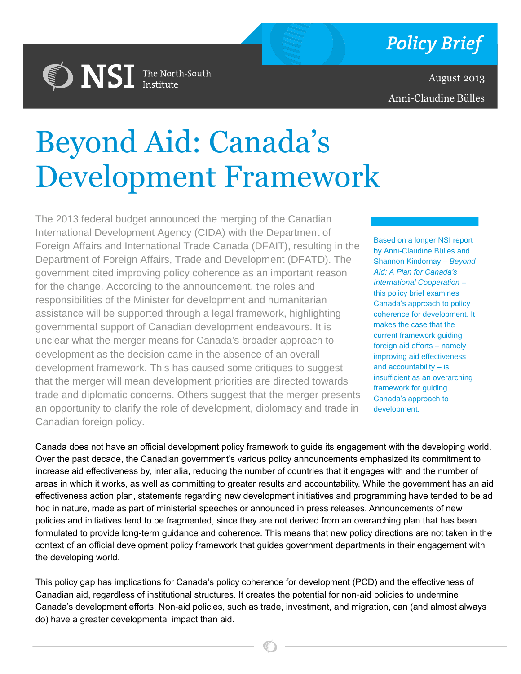

August 2013 Anni-Claudine Bülles

# Beyond Aid: Canada's Development Framework

**DISI** The North-South

The 2013 federal budget announced the merging of the Canadian International Development Agency (CIDA) with the Department of Foreign Affairs and International Trade Canada (DFAIT), resulting in the Department of Foreign Affairs, Trade and Development (DFATD). The government cited improving policy coherence as an important reason for the change. According to the announcement, the roles and responsibilities of the Minister for development and humanitarian assistance will be supported through a legal framework, highlighting governmental support of Canadian development endeavours. It is unclear what the merger means for Canada's broader approach to development as the decision came in the absence of an overall development framework. This has caused some critiques to suggest that the merger will mean development priorities are directed towards trade and diplomatic concerns. Others suggest that the merger presents an opportunity to clarify the role of development, diplomacy and trade in Canadian foreign policy.

Based on a longer NSI report by Anni-Claudine Bülles and Shannon Kindornay – *Beyond Aid: A Plan for Canada's International Cooperation* – this policy brief examines Canada's approach to policy coherence for development. It makes the case that the current framework guiding foreign aid efforts – namely improving aid effectiveness and accountability – is insufficient as an overarching framework for guiding Canada's approach to development.

Canada does not have an official development policy framework to guide its engagement with the developing world. Over the past decade, the Canadian government's various policy announcements emphasized its commitment to increase aid effectiveness by, inter alia, reducing the number of countries that it engages with and the number of areas in which it works, as well as committing to greater results and accountability. While the government has an aid effectiveness action plan, statements regarding new development initiatives and programming have tended to be ad hoc in nature, made as part of ministerial speeches or announced in press releases. Announcements of new policies and initiatives tend to be fragmented, since they are not derived from an overarching plan that has been formulated to provide long-term guidance and coherence. This means that new policy directions are not taken in the context of an official development policy framework that guides government departments in their engagement with the developing world.

This policy gap has implications for Canada's policy coherence for development (PCD) and the effectiveness of Canadian aid, regardless of institutional structures. It creates the potential for non-aid policies to undermine Canada's development efforts. Non-aid policies, such as trade, investment, and migration, can (and almost always do) have a greater developmental impact than aid.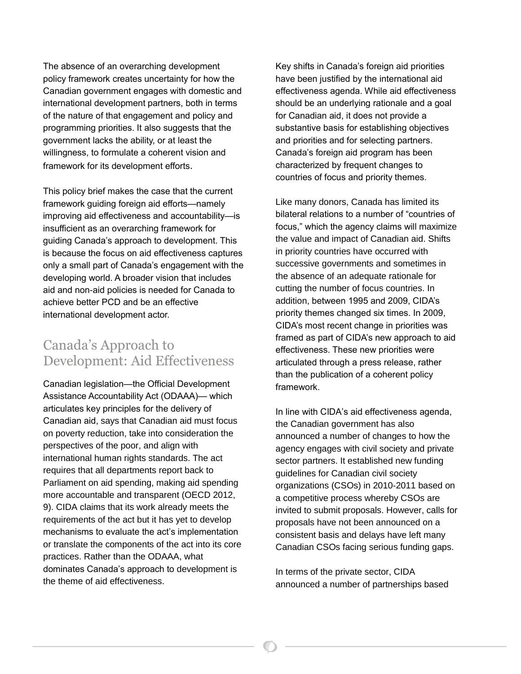The absence of an overarching development policy framework creates uncertainty for how the Canadian government engages with domestic and international development partners, both in terms of the nature of that engagement and policy and programming priorities. It also suggests that the government lacks the ability, or at least the willingness, to formulate a coherent vision and framework for its development efforts.

This policy brief makes the case that the current framework guiding foreign aid efforts—namely improving aid effectiveness and accountability—is insufficient as an overarching framework for guiding Canada's approach to development. This is because the focus on aid effectiveness captures only a small part of Canada's engagement with the developing world. A broader vision that includes aid and non-aid policies is needed for Canada to achieve better PCD and be an effective international development actor.

#### Canada's Approach to Development: Aid Effectiveness

Canadian legislation—the Official Development Assistance Accountability Act (ODAAA)— which articulates key principles for the delivery of Canadian aid, says that Canadian aid must focus on poverty reduction, take into consideration the perspectives of the poor, and align with international human rights standards. The act requires that all departments report back to Parliament on aid spending, making aid spending more accountable and transparent (OECD 2012, 9). CIDA claims that its work already meets the requirements of the act but it has yet to develop mechanisms to evaluate the act's implementation or translate the components of the act into its core practices. Rather than the ODAAA, what dominates Canada's approach to development is the theme of aid effectiveness.

Key shifts in Canada's foreign aid priorities have been justified by the international aid effectiveness agenda. While aid effectiveness should be an underlying rationale and a goal for Canadian aid, it does not provide a substantive basis for establishing objectives and priorities and for selecting partners. Canada's foreign aid program has been characterized by frequent changes to countries of focus and priority themes.

Like many donors, Canada has limited its bilateral relations to a number of "countries of focus," which the agency claims will maximize the value and impact of Canadian aid. Shifts in priority countries have occurred with successive governments and sometimes in the absence of an adequate rationale for cutting the number of focus countries. In addition, between 1995 and 2009, CIDA's priority themes changed six times. In 2009, CIDA's most recent change in priorities was framed as part of CIDA's new approach to aid effectiveness. These new priorities were articulated through a press release, rather than the publication of a coherent policy framework.

In line with CIDA's aid effectiveness agenda, the Canadian government has also announced a number of changes to how the agency engages with civil society and private sector partners. It established new funding guidelines for Canadian civil society organizations (CSOs) in 2010-2011 based on a competitive process whereby CSOs are invited to submit proposals. However, calls for proposals have not been announced on a consistent basis and delays have left many Canadian CSOs facing serious funding gaps.

In terms of the private sector, CIDA announced a number of partnerships based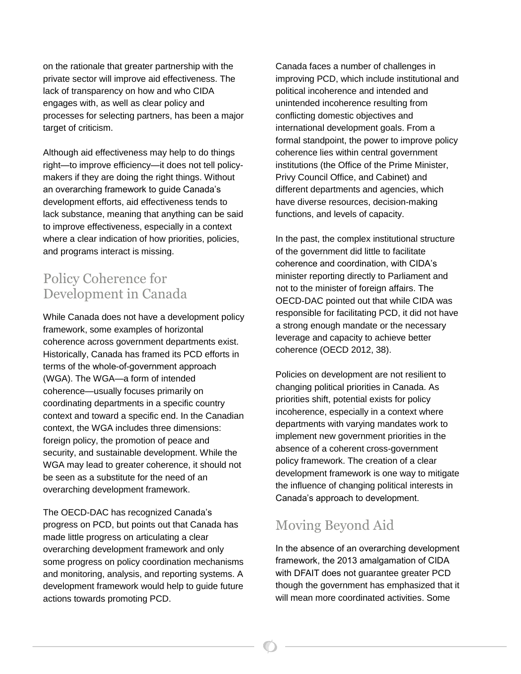on the rationale that greater partnership with the private sector will improve aid effectiveness. The lack of transparency on how and who CIDA engages with, as well as clear policy and processes for selecting partners, has been a major target of criticism.

Although aid effectiveness may help to do things right—to improve efficiency—it does not tell policymakers if they are doing the right things. Without an overarching framework to guide Canada's development efforts, aid effectiveness tends to lack substance, meaning that anything can be said to improve effectiveness, especially in a context where a clear indication of how priorities, policies, and programs interact is missing.

### Policy Coherence for Development in Canada

While Canada does not have a development policy framework, some examples of horizontal coherence across government departments exist. Historically, Canada has framed its PCD efforts in terms of the whole-of-government approach (WGA). The WGA—a form of intended coherence—usually focuses primarily on coordinating departments in a specific country context and toward a specific end. In the Canadian context, the WGA includes three dimensions: foreign policy, the promotion of peace and security, and sustainable development. While the WGA may lead to greater coherence, it should not be seen as a substitute for the need of an overarching development framework.

The OECD-DAC has recognized Canada's progress on PCD, but points out that Canada has made little progress on articulating a clear overarching development framework and only some progress on policy coordination mechanisms and monitoring, analysis, and reporting systems. A development framework would help to guide future actions towards promoting PCD.

Canada faces a number of challenges in improving PCD, which include institutional and political incoherence and intended and unintended incoherence resulting from conflicting domestic objectives and international development goals. From a formal standpoint, the power to improve policy coherence lies within central government institutions (the Office of the Prime Minister, Privy Council Office, and Cabinet) and different departments and agencies, which have diverse resources, decision-making functions, and levels of capacity.

In the past, the complex institutional structure of the government did little to facilitate coherence and coordination, with CIDA's minister reporting directly to Parliament and not to the minister of foreign affairs. The OECD-DAC pointed out that while CIDA was responsible for facilitating PCD, it did not have a strong enough mandate or the necessary leverage and capacity to achieve better coherence (OECD 2012, 38).

Policies on development are not resilient to changing political priorities in Canada. As priorities shift, potential exists for policy incoherence, especially in a context where departments with varying mandates work to implement new government priorities in the absence of a coherent cross-government policy framework. The creation of a clear development framework is one way to mitigate the influence of changing political interests in Canada's approach to development.

## Moving Beyond Aid

In the absence of an overarching development framework, the 2013 amalgamation of CIDA with DFAIT does not guarantee greater PCD though the government has emphasized that it will mean more coordinated activities. Some